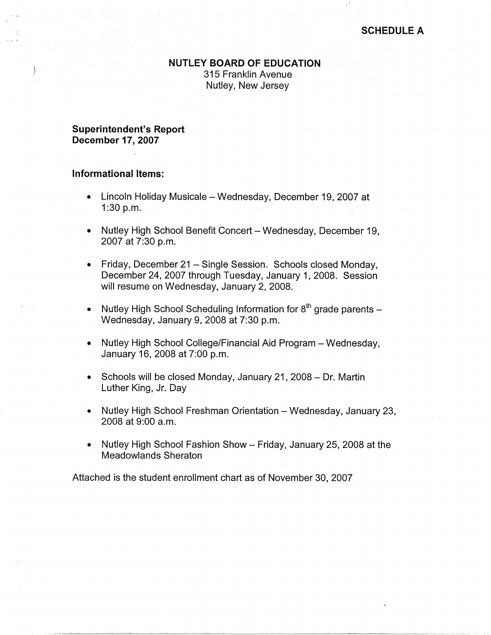## **NUTLEY BOARD OF EDUCATION**

315 Franklin Avenue Nutley, New Jersey

**Superintendent's Report December 17, 2007** 

## **Informational Items:**

- Lincoln Holiday Musicale Wednesday, December 19, 2007 at 1:30 p.m.
- Nutley High School Benefit Concert Wednesday, December 19, 2007 at 7:30 p.m.
- Friday, December 21 Single Session. Schools closed Monday, December 24, 2007 through Tuesday, January 1, 2008. Session will resume on Wednesday, January 2, 2008.
- Nutley High School Scheduling Information for  $8<sup>th</sup>$  grade parents Wednesday, January 9, 2008 at 7:30 p.m.
- Nutley High School College/Financial Aid Program Wednesday, January 16, 2008 at 7:00 p.m.
- Schools will be closed Monday, January 21, 2008 Dr. Martin Luther King, Jr. Day
- Nutley High School Freshman Orientation Wednesday, January 23, 2008 at 9:00 a.m.
- Nutley High School Fashion Show Friday, January 25, 2008 at the Meadowlands Sheraton

Attached is the student enrollment chart as of November 30, 2007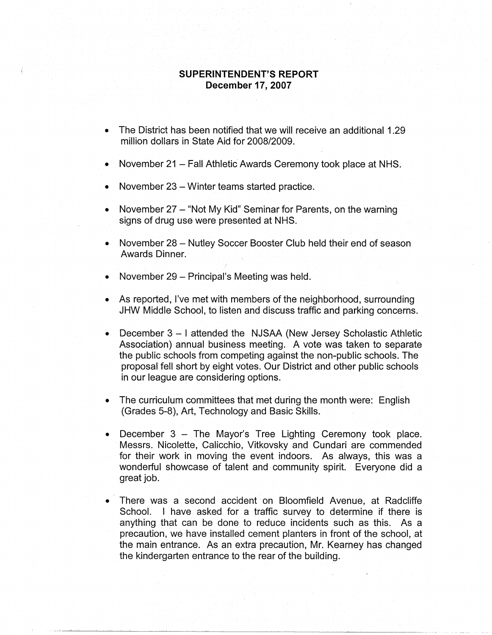## **SUPERINTENDENT'S REPORT December 17, 2007**

- The District has been notified that we will receive an additional 1.29 million dollars in State Aid for 2008/2009.
- November 21 Fall Athletic Awards Ceremony took place at NHS.
- November 23 Winter teams started practice.
- November 27 "Not My Kid" Seminar for Parents, on the warning signs of drug use were presented at NHS.
- November 28 Nutley Soccer Booster Club held their end of season Awards Dinner.
- November 29 Principal's Meeting was held.
- As reported, I've met with members of the neighborhood, surrounding JHW Middle School, to listen and discuss traffic and parking concerns.
- December 3 I attended the NJSAA (New Jersey Scholastic Athletic Association) annual business meeting. A vote was taken to separate the public schools from competing against the non-public schools. The proposal fell short by eight votes. Our District and other public schools in our league are considering options.
- The curriculum committees that met during the month were: English (Grades 5-8), Art, Technology and Basic Skills.
- December  $3$  The Mayor's Tree Lighting Ceremony took place. Messrs. Nicolette, Calicchio, Vitkovsky and Cundari are commended for their work in moving the event indoors. As always, this was a wonderful showcase of talent and community spirit. Everyone did a great job.
- There was a second accident on Bloomfield Avenue, at Radcliffe School. I have asked for a traffic survey to determine if there is anything that can be done to reduce incidents such as this. As a precaution, we have installed cement planters in front of the school, at the main entrance. As an extra precaution, Mr. Kearney has changed the kindergarten entrance to the rear of the building.